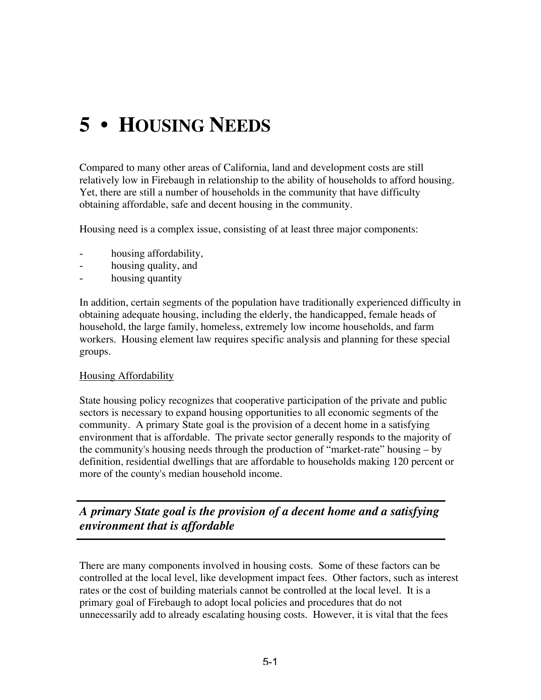# **5 • HOUSING NEEDS**

Compared to many other areas of California, land and development costs are still relatively low in Firebaugh in relationship to the ability of households to afford housing. Yet, there are still a number of households in the community that have difficulty obtaining affordable, safe and decent housing in the community.

Housing need is a complex issue, consisting of at least three major components:

- housing affordability,
- housing quality, and
- housing quantity

In addition, certain segments of the population have traditionally experienced difficulty in obtaining adequate housing, including the elderly, the handicapped, female heads of household, the large family, homeless, extremely low income households, and farm workers. Housing element law requires specific analysis and planning for these special groups.

#### Housing Affordability

State housing policy recognizes that cooperative participation of the private and public sectors is necessary to expand housing opportunities to all economic segments of the community. A primary State goal is the provision of a decent home in a satisfying environment that is affordable. The private sector generally responds to the majority of the community's housing needs through the production of "market-rate" housing – by definition, residential dwellings that are affordable to households making 120 percent or more of the county's median household income.

*A primary State goal is the provision of a decent home and a satisfying environment that is affordable*

There are many components involved in housing costs. Some of these factors can be controlled at the local level, like development impact fees. Other factors, such as interest rates or the cost of building materials cannot be controlled at the local level. It is a primary goal of Firebaugh to adopt local policies and procedures that do not unnecessarily add to already escalating housing costs. However, it is vital that the fees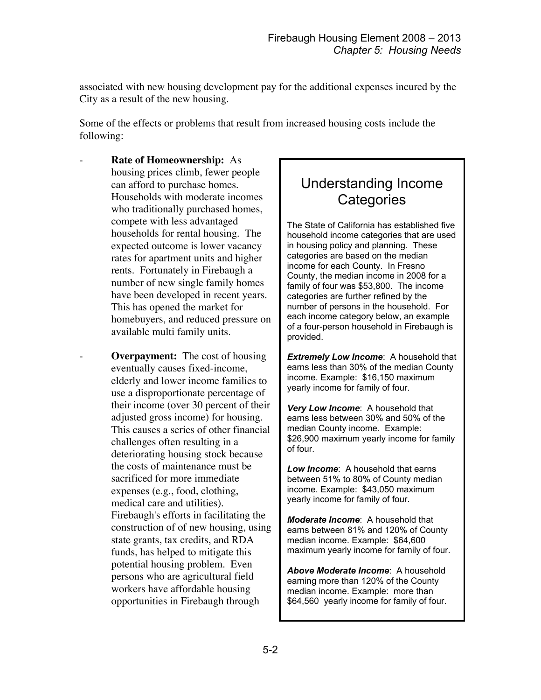associated with new housing development pay for the additional expenses incured by the City as a result of the new housing.

Some of the effects or problems that result from increased housing costs include the following:

- **Rate of Homeownership:** As housing prices climb, fewer people can afford to purchase homes. Households with moderate incomes who traditionally purchased homes, compete with less advantaged households for rental housing. The expected outcome is lower vacancy rates for apartment units and higher rents. Fortunately in Firebaugh a number of new single family homes have been developed in recent years. This has opened the market for homebuyers, and reduced pressure on available multi family units.
- **Overpayment:** The cost of housing eventually causes fixed-income, elderly and lower income families to use a disproportionate percentage of their income (over 30 percent of their adjusted gross income) for housing. This causes a series of other financial challenges often resulting in a deteriorating housing stock because the costs of maintenance must be sacrificed for more immediate expenses (e.g., food, clothing, medical care and utilities). Firebaugh's efforts in facilitating the construction of of new housing, using state grants, tax credits, and RDA funds, has helped to mitigate this potential housing problem. Even persons who are agricultural field workers have affordable housing opportunities in Firebaugh through

# Understanding Income **Categories**

The State of California has established five household income categories that are used in housing policy and planning. These categories are based on the median income for each County. In Fresno County, the median income in 2008 for a family of four was \$53,800. The income categories are further refined by the number of persons in the household. For each income category below, an example of a four-person household in Firebaugh is provided.

*Extremely Low Income*: A household that earns less than 30% of the median County income. Example: \$16,150 maximum yearly income for family of four.

*Very Low Income*: A household that earns less between 30% and 50% of the median County income. Example: \$26,900 maximum yearly income for family of four.

*Low Income*: A household that earns between 51% to 80% of County median income. Example: \$43,050 maximum yearly income for family of four.

*Moderate Income*: A household that earns between 81% and 120% of County median income. Example: \$64,600 maximum yearly income for family of four.

*Above Moderate Income*: A household earning more than 120% of the County median income. Example: more than \$64,560 yearly income for family of four.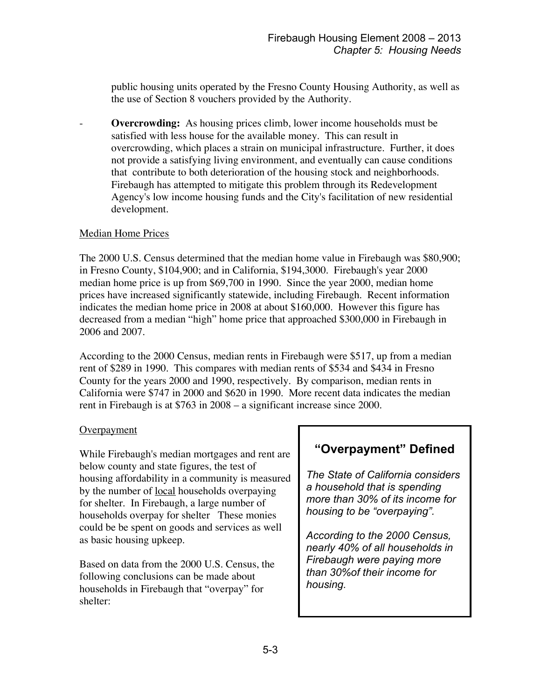public housing units operated by the Fresno County Housing Authority, as well as the use of Section 8 vouchers provided by the Authority.

**Overcrowding:** As housing prices climb, lower income households must be satisfied with less house for the available money. This can result in overcrowding, which places a strain on municipal infrastructure. Further, it does not provide a satisfying living environment, and eventually can cause conditions that contribute to both deterioration of the housing stock and neighborhoods. Firebaugh has attempted to mitigate this problem through its Redevelopment Agency's low income housing funds and the City's facilitation of new residential development.

#### Median Home Prices

The 2000 U.S. Census determined that the median home value in Firebaugh was \$80,900; in Fresno County, \$104,900; and in California, \$194,3000. Firebaugh's year 2000 median home price is up from \$69,700 in 1990. Since the year 2000, median home prices have increased significantly statewide, including Firebaugh. Recent information indicates the median home price in 2008 at about \$160,000. However this figure has decreased from a median "high" home price that approached \$300,000 in Firebaugh in 2006 and 2007.

According to the 2000 Census, median rents in Firebaugh were \$517, up from a median rent of \$289 in 1990. This compares with median rents of \$534 and \$434 in Fresno County for the years 2000 and 1990, respectively. By comparison, median rents in California were \$747 in 2000 and \$620 in 1990. More recent data indicates the median rent in Firebaugh is at \$763 in 2008 – a significant increase since 2000.

#### **Overpayment**

While Firebaugh's median mortgages and rent are below county and state figures, the test of housing affordability in a community is measured by the number of local households overpaying for shelter. In Firebaugh, a large number of households overpay for shelter These monies could be be spent on goods and services as well as basic housing upkeep.

Based on data from the 2000 U.S. Census, the following conclusions can be made about households in Firebaugh that "overpay" for shelter:

# **"Overpayment" Defined**

*The State of California considers a household that is spending more than 30% of its income for housing to be "overpaying".*

*According to the 2000 Census, nearly 40% of all households in Firebaugh were paying more than 30%of their income for housing.*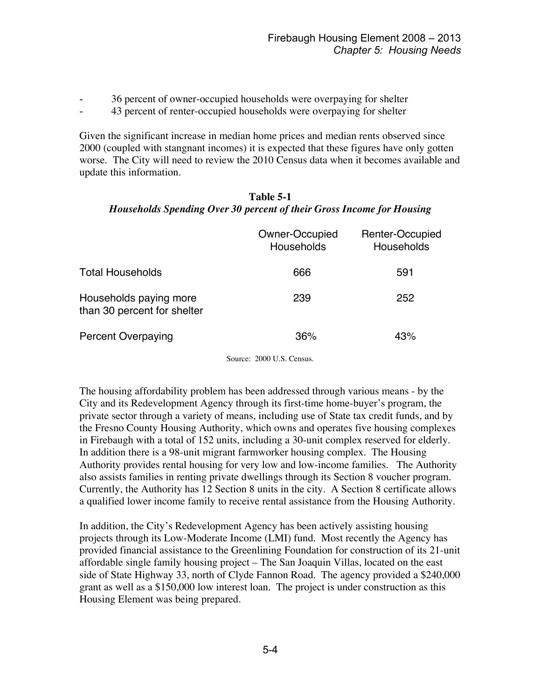- 36 percent of owner-occupied households were overpaying for shelter
- 43 percent of renter-occupied households were overpaying for shelter

Given the significant increase in median home prices and median rents observed since 2000 (coupled with stangnant incomes) it is expected that these figures have only gotten worse. The City will need to review the 2010 Census data when it becomes available and update this information.

#### **Table 5-1** *Households Spending Over 30 percent of their Gross Income for Housing*

| Owner-Occupied<br>Households | Renter-Occupied<br>Households |
|------------------------------|-------------------------------|
| 666                          | 591                           |
| 239                          | 252                           |
| 36%                          | 43%                           |
|                              |                               |

Source: 2000 U.S. Census.

The housing affordability problem has been addressed through various means - by the City and its Redevelopment Agency through its first-time home-buyer's program, the private sector through a variety of means, including use of State tax credit funds, and by the Fresno County Housing Authority, which owns and operates five housing complexes in Firebaugh with a total of 152 units, including a 30-unit complex reserved for elderly. In addition there is a 98-unit migrant farmworker housing complex. The Housing Authority provides rental housing for very low and low-income families. The Authority also assists families in renting private dwellings through its Section 8 voucher program. Currently, the Authority has 12 Section 8 units in the city. A Section 8 certificate allows a qualified lower income family to receive rental assistance from the Housing Authority.

In addition, the City's Redevelopment Agency has been actively assisting housing projects through its Low-Moderate Income (LMI) fund. Most recently the Agency has provided financial assistance to the Greenlining Foundation for construction of its 21-unit affordable single family housing project – The San Joaquin Villas, located on the east side of State Highway 33, north of Clyde Fannon Road. The agency provided a \$240,000 grant as well as a \$150,000 low interest loan. The project is under construction as this Housing Element was being prepared.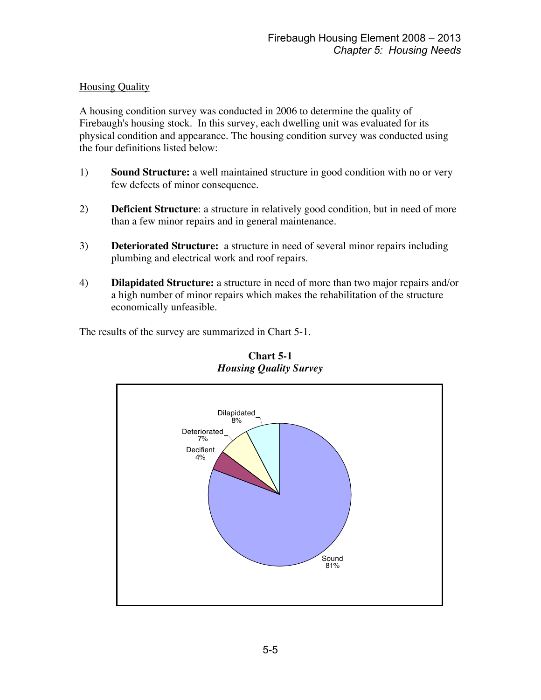# **Housing Quality**

A housing condition survey was conducted in 2006 to determine the quality of Firebaugh's housing stock. In this survey, each dwelling unit was evaluated for its physical condition and appearance. The housing condition survey was conducted using the four definitions listed below:

- 1) **Sound Structure:** a well maintained structure in good condition with no or very few defects of minor consequence.
- 2) **Deficient Structure**: a structure in relatively good condition, but in need of more than a few minor repairs and in general maintenance.
- 3) **Deteriorated Structure:** a structure in need of several minor repairs including plumbing and electrical work and roof repairs.
- 4) **Dilapidated Structure:** a structure in need of more than two major repairs and/or a high number of minor repairs which makes the rehabilitation of the structure economically unfeasible.

The results of the survey are summarized in Chart 5-1.



**Chart 5-1** *Housing Quality Survey*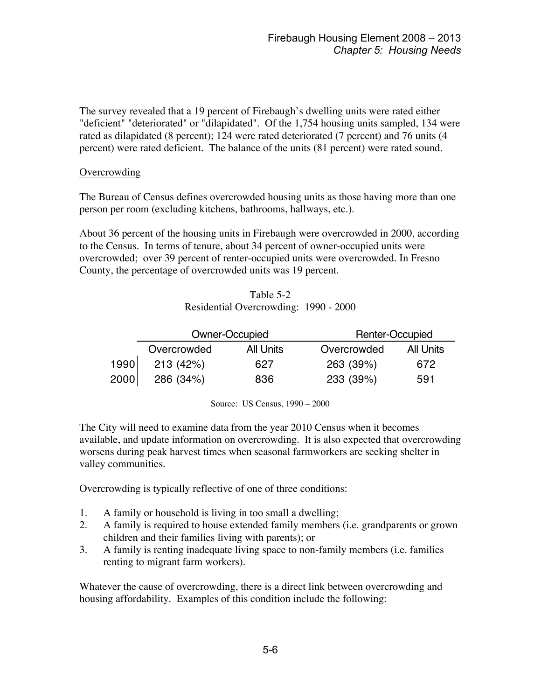The survey revealed that a 19 percent of Firebaugh's dwelling units were rated either "deficient" "deteriorated" or "dilapidated". Of the 1,754 housing units sampled, 134 were rated as dilapidated (8 percent); 124 were rated deteriorated (7 percent) and 76 units (4 percent) were rated deficient. The balance of the units (81 percent) were rated sound.

#### **Overcrowding**

The Bureau of Census defines overcrowded housing units as those having more than one person per room (excluding kitchens, bathrooms, hallways, etc.).

About 36 percent of the housing units in Firebaugh were overcrowded in 2000, according to the Census. In terms of tenure, about 34 percent of owner-occupied units were overcrowded; over 39 percent of renter-occupied units were overcrowded. In Fresno County, the percentage of overcrowded units was 19 percent.

Table 5-2 Residential Overcrowding: 1990 - 2000

|      | Owner-Occupied |           | Renter-Occupied |           |  |
|------|----------------|-----------|-----------------|-----------|--|
|      | Overcrowded    | All Units | Overcrowded     | All Units |  |
| 1990 | 213 (42%)      | 627       | 263 (39%)       | 672       |  |
| 2000 | 286 (34%)      | 836       | 233 (39%)       | 591       |  |

Source: US Census, 1990 – 2000

The City will need to examine data from the year 2010 Census when it becomes available, and update information on overcrowding. It is also expected that overcrowding worsens during peak harvest times when seasonal farmworkers are seeking shelter in valley communities.

Overcrowding is typically reflective of one of three conditions:

- 1. A family or household is living in too small a dwelling;
- 2. A family is required to house extended family members (i.e. grandparents or grown children and their families living with parents); or
- 3. A family is renting inadequate living space to non-family members (i.e. families renting to migrant farm workers).

Whatever the cause of overcrowding, there is a direct link between overcrowding and housing affordability. Examples of this condition include the following: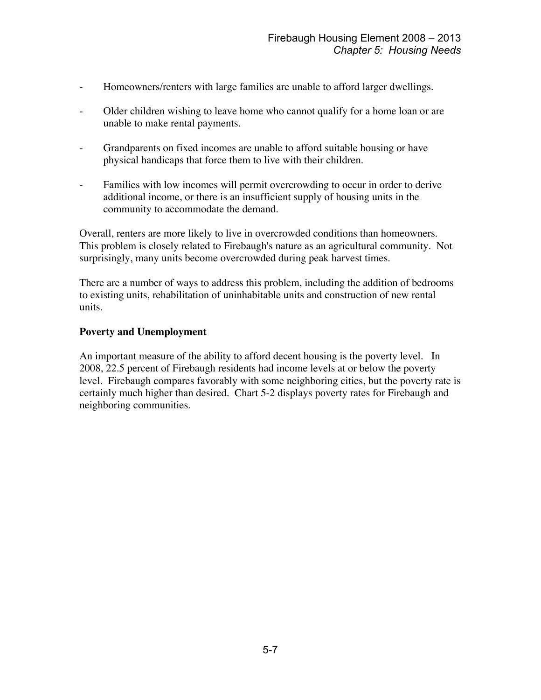- Homeowners/renters with large families are unable to afford larger dwellings.
- Older children wishing to leave home who cannot qualify for a home loan or are unable to make rental payments.
- Grandparents on fixed incomes are unable to afford suitable housing or have physical handicaps that force them to live with their children.
- Families with low incomes will permit overcrowding to occur in order to derive additional income, or there is an insufficient supply of housing units in the community to accommodate the demand.

Overall, renters are more likely to live in overcrowded conditions than homeowners. This problem is closely related to Firebaugh's nature as an agricultural community. Not surprisingly, many units become overcrowded during peak harvest times.

There are a number of ways to address this problem, including the addition of bedrooms to existing units, rehabilitation of uninhabitable units and construction of new rental units.

# **Poverty and Unemployment**

An important measure of the ability to afford decent housing is the poverty level. In 2008, 22.5 percent of Firebaugh residents had income levels at or below the poverty level. Firebaugh compares favorably with some neighboring cities, but the poverty rate is certainly much higher than desired. Chart 5-2 displays poverty rates for Firebaugh and neighboring communities.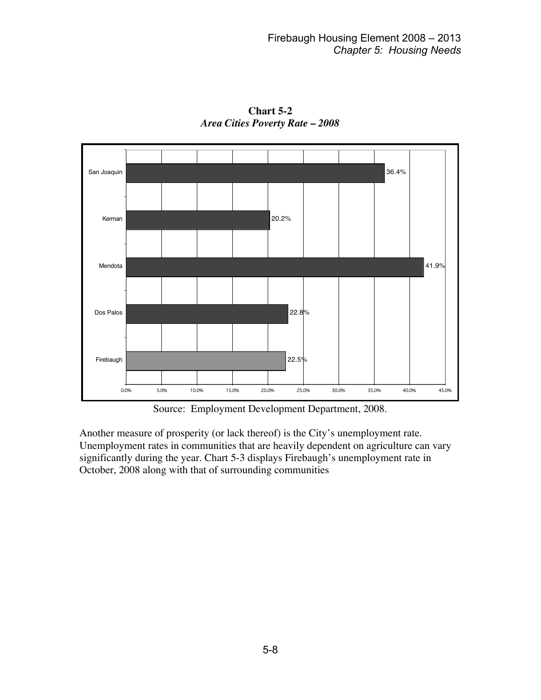

**Chart 5-2** *Area Cities Poverty Rate – 2008*

Source: Employment Development Department, 2008.

Another measure of prosperity (or lack thereof) is the City's unemployment rate. Unemployment rates in communities that are heavily dependent on agriculture can vary significantly during the year. Chart 5-3 displays Firebaugh's unemployment rate in October, 2008 along with that of surrounding communities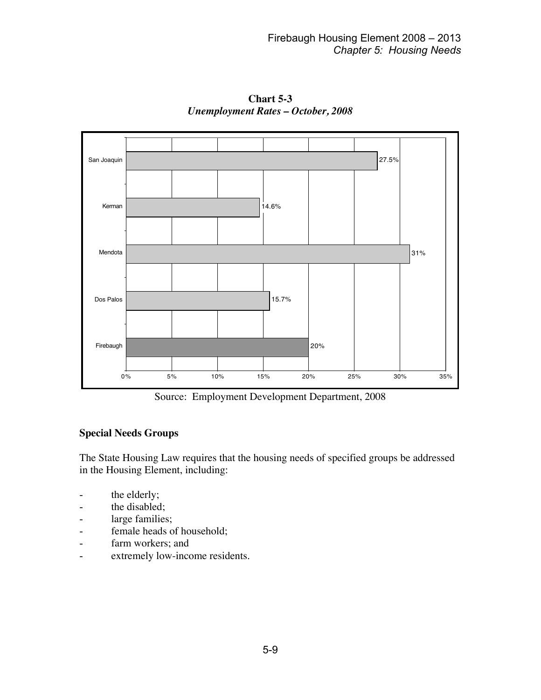

**Chart 5-3** *Unemployment Rates – October, 2008*

Source: Employment Development Department, 2008

# **Special Needs Groups**

The State Housing Law requires that the housing needs of specified groups be addressed in the Housing Element, including:

- the elderly;
- the disabled;
- large families;
- female heads of household;
- farm workers; and
- extremely low-income residents.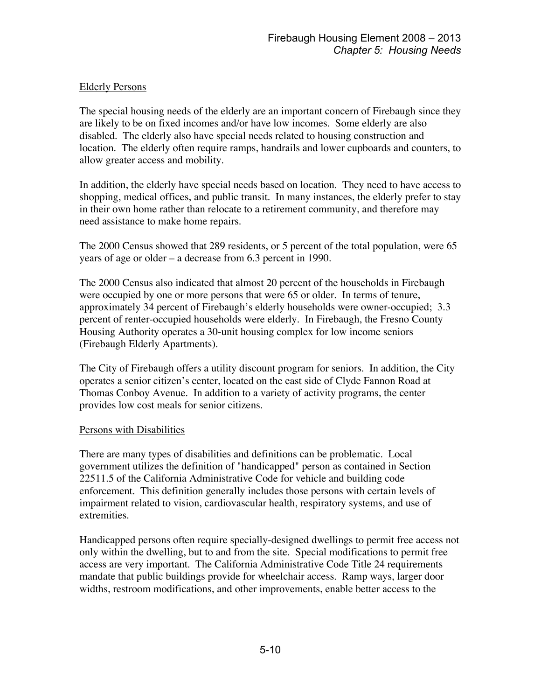# Elderly Persons

The special housing needs of the elderly are an important concern of Firebaugh since they are likely to be on fixed incomes and/or have low incomes. Some elderly are also disabled. The elderly also have special needs related to housing construction and location. The elderly often require ramps, handrails and lower cupboards and counters, to allow greater access and mobility.

In addition, the elderly have special needs based on location. They need to have access to shopping, medical offices, and public transit. In many instances, the elderly prefer to stay in their own home rather than relocate to a retirement community, and therefore may need assistance to make home repairs.

The 2000 Census showed that 289 residents, or 5 percent of the total population, were 65 years of age or older – a decrease from 6.3 percent in 1990.

The 2000 Census also indicated that almost 20 percent of the households in Firebaugh were occupied by one or more persons that were 65 or older. In terms of tenure, approximately 34 percent of Firebaugh's elderly households were owner-occupied; 3.3 percent of renter-occupied households were elderly. In Firebaugh, the Fresno County Housing Authority operates a 30-unit housing complex for low income seniors (Firebaugh Elderly Apartments).

The City of Firebaugh offers a utility discount program for seniors. In addition, the City operates a senior citizen's center, located on the east side of Clyde Fannon Road at Thomas Conboy Avenue. In addition to a variety of activity programs, the center provides low cost meals for senior citizens.

# Persons with Disabilities

There are many types of disabilities and definitions can be problematic. Local government utilizes the definition of "handicapped" person as contained in Section 22511.5 of the California Administrative Code for vehicle and building code enforcement. This definition generally includes those persons with certain levels of impairment related to vision, cardiovascular health, respiratory systems, and use of extremities.

Handicapped persons often require specially-designed dwellings to permit free access not only within the dwelling, but to and from the site. Special modifications to permit free access are very important. The California Administrative Code Title 24 requirements mandate that public buildings provide for wheelchair access. Ramp ways, larger door widths, restroom modifications, and other improvements, enable better access to the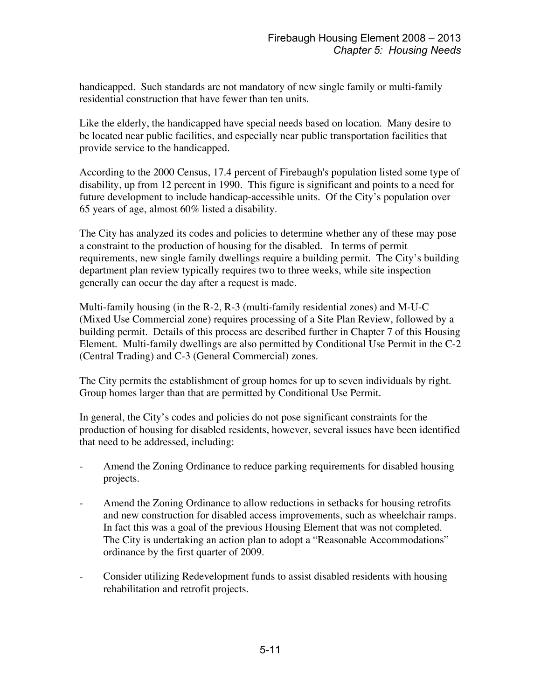handicapped. Such standards are not mandatory of new single family or multi-family residential construction that have fewer than ten units.

Like the elderly, the handicapped have special needs based on location. Many desire to be located near public facilities, and especially near public transportation facilities that provide service to the handicapped.

According to the 2000 Census, 17.4 percent of Firebaugh's population listed some type of disability, up from 12 percent in 1990. This figure is significant and points to a need for future development to include handicap-accessible units. Of the City's population over 65 years of age, almost 60% listed a disability.

The City has analyzed its codes and policies to determine whether any of these may pose a constraint to the production of housing for the disabled. In terms of permit requirements, new single family dwellings require a building permit. The City's building department plan review typically requires two to three weeks, while site inspection generally can occur the day after a request is made.

Multi-family housing (in the R-2, R-3 (multi-family residential zones) and M-U-C (Mixed Use Commercial zone) requires processing of a Site Plan Review, followed by a building permit. Details of this process are described further in Chapter 7 of this Housing Element. Multi-family dwellings are also permitted by Conditional Use Permit in the C-2 (Central Trading) and C-3 (General Commercial) zones.

The City permits the establishment of group homes for up to seven individuals by right. Group homes larger than that are permitted by Conditional Use Permit.

In general, the City's codes and policies do not pose significant constraints for the production of housing for disabled residents, however, several issues have been identified that need to be addressed, including:

- Amend the Zoning Ordinance to reduce parking requirements for disabled housing projects.
- Amend the Zoning Ordinance to allow reductions in setbacks for housing retrofits and new construction for disabled access improvements, such as wheelchair ramps. In fact this was a goal of the previous Housing Element that was not completed. The City is undertaking an action plan to adopt a "Reasonable Accommodations" ordinance by the first quarter of 2009.
- Consider utilizing Redevelopment funds to assist disabled residents with housing rehabilitation and retrofit projects.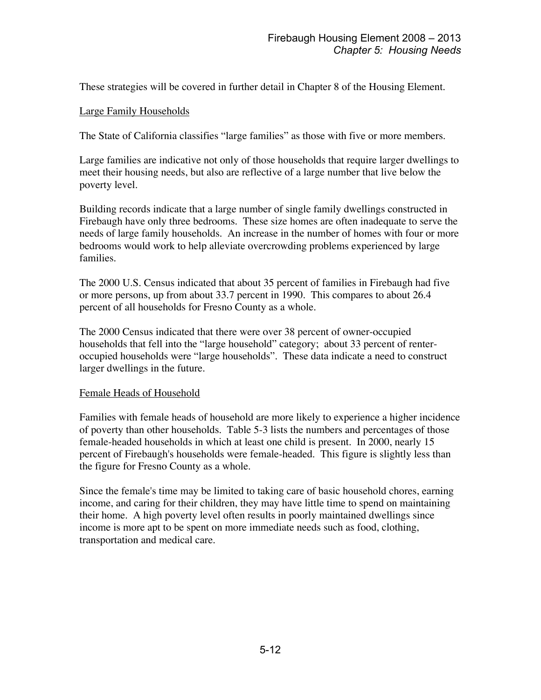These strategies will be covered in further detail in Chapter 8 of the Housing Element.

### Large Family Households

The State of California classifies "large families" as those with five or more members.

Large families are indicative not only of those households that require larger dwellings to meet their housing needs, but also are reflective of a large number that live below the poverty level.

Building records indicate that a large number of single family dwellings constructed in Firebaugh have only three bedrooms. These size homes are often inadequate to serve the needs of large family households. An increase in the number of homes with four or more bedrooms would work to help alleviate overcrowding problems experienced by large families.

The 2000 U.S. Census indicated that about 35 percent of families in Firebaugh had five or more persons, up from about 33.7 percent in 1990. This compares to about 26.4 percent of all households for Fresno County as a whole.

The 2000 Census indicated that there were over 38 percent of owner-occupied households that fell into the "large household" category; about 33 percent of renteroccupied households were "large households". These data indicate a need to construct larger dwellings in the future.

#### Female Heads of Household

Families with female heads of household are more likely to experience a higher incidence of poverty than other households. Table 5-3 lists the numbers and percentages of those female-headed households in which at least one child is present. In 2000, nearly 15 percent of Firebaugh's households were female-headed. This figure is slightly less than the figure for Fresno County as a whole.

Since the female's time may be limited to taking care of basic household chores, earning income, and caring for their children, they may have little time to spend on maintaining their home. A high poverty level often results in poorly maintained dwellings since income is more apt to be spent on more immediate needs such as food, clothing, transportation and medical care.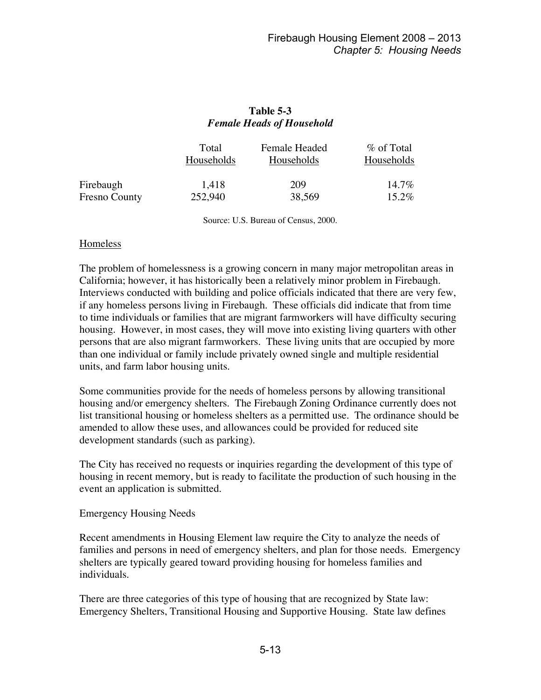# **Table 5-3** *Female Heads of Household*

|                      | Total<br>Households | Female Headed<br>Households | % of Total<br>Households |
|----------------------|---------------------|-----------------------------|--------------------------|
| Firebaugh            | 1,418               | 209                         | $14.7\%$                 |
| <b>Fresno County</b> | 252,940             | 38,569                      | $15.2\%$                 |

Source: U.S. Bureau of Census, 2000.

#### Homeless

The problem of homelessness is a growing concern in many major metropolitan areas in California; however, it has historically been a relatively minor problem in Firebaugh. Interviews conducted with building and police officials indicated that there are very few, if any homeless persons living in Firebaugh. These officials did indicate that from time to time individuals or families that are migrant farmworkers will have difficulty securing housing. However, in most cases, they will move into existing living quarters with other persons that are also migrant farmworkers. These living units that are occupied by more than one individual or family include privately owned single and multiple residential units, and farm labor housing units.

Some communities provide for the needs of homeless persons by allowing transitional housing and/or emergency shelters. The Firebaugh Zoning Ordinance currently does not list transitional housing or homeless shelters as a permitted use. The ordinance should be amended to allow these uses, and allowances could be provided for reduced site development standards (such as parking).

The City has received no requests or inquiries regarding the development of this type of housing in recent memory, but is ready to facilitate the production of such housing in the event an application is submitted.

Emergency Housing Needs

Recent amendments in Housing Element law require the City to analyze the needs of families and persons in need of emergency shelters, and plan for those needs. Emergency shelters are typically geared toward providing housing for homeless families and individuals.

There are three categories of this type of housing that are recognized by State law: Emergency Shelters, Transitional Housing and Supportive Housing. State law defines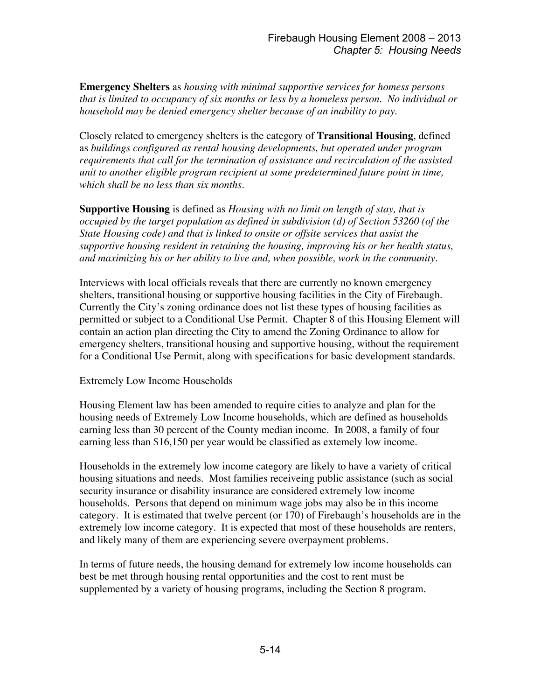**Emergency Shelters** as *housing with minimal supportive services for homess persons that is limited to occupancy of six months or less by a homeless person. No individual or household may be denied emergency shelter because of an inability to pay*.

Closely related to emergency shelters is the category of **Transitional Housing**, defined as *buildings configured as rental housing developments, but operated under program requirements that call for the termination of assistance and recirculation of the assisted unit to another eligible program recipient at some predetermined future point in time, which shall be no less than six months*.

**Supportive Housing** is defined as *Housing with no limit on length of stay, that is occupied by the target population as defined in subdivision (d) of Section 53260 (of the State Housing code) and that is linked to onsite or offsite services that assist the supportive housing resident in retaining the housing, improving his or her health status, and maximizing his or her ability to live and, when possible, work in the community*.

Interviews with local officials reveals that there are currently no known emergency shelters, transitional housing or supportive housing facilities in the City of Firebaugh. Currently the City's zoning ordinance does not list these types of housing facilities as permitted or subject to a Conditional Use Permit. Chapter 8 of this Housing Element will contain an action plan directing the City to amend the Zoning Ordinance to allow for emergency shelters, transitional housing and supportive housing, without the requirement for a Conditional Use Permit, along with specifications for basic development standards.

#### Extremely Low Income Households

Housing Element law has been amended to require cities to analyze and plan for the housing needs of Extremely Low Income households, which are defined as households earning less than 30 percent of the County median income. In 2008, a family of four earning less than \$16,150 per year would be classified as extemely low income.

Households in the extremely low income category are likely to have a variety of critical housing situations and needs. Most families receiveing public assistance (such as social security insurance or disability insurance are considered extremely low income households. Persons that depend on minimum wage jobs may also be in this income category. It is estimated that twelve percent (or 170) of Firebaugh's households are in the extremely low income category. It is expected that most of these households are renters, and likely many of them are experiencing severe overpayment problems.

In terms of future needs, the housing demand for extremely low income households can best be met through housing rental opportunities and the cost to rent must be supplemented by a variety of housing programs, including the Section 8 program.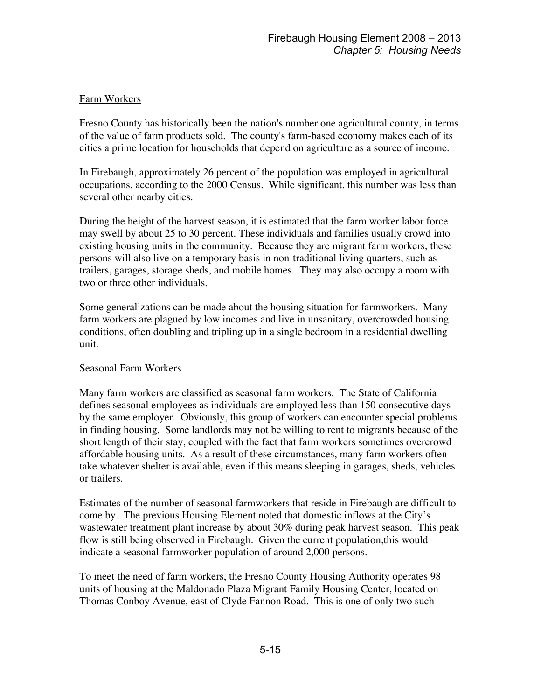# Farm Workers

Fresno County has historically been the nation's number one agricultural county, in terms of the value of farm products sold. The county's farm-based economy makes each of its cities a prime location for households that depend on agriculture as a source of income.

In Firebaugh, approximately 26 percent of the population was employed in agricultural occupations, according to the 2000 Census. While significant, this number was less than several other nearby cities.

During the height of the harvest season, it is estimated that the farm worker labor force may swell by about 25 to 30 percent. These individuals and families usually crowd into existing housing units in the community. Because they are migrant farm workers, these persons will also live on a temporary basis in non-traditional living quarters, such as trailers, garages, storage sheds, and mobile homes. They may also occupy a room with two or three other individuals.

Some generalizations can be made about the housing situation for farmworkers. Many farm workers are plagued by low incomes and live in unsanitary, overcrowded housing conditions, often doubling and tripling up in a single bedroom in a residential dwelling unit.

# Seasonal Farm Workers

Many farm workers are classified as seasonal farm workers. The State of California defines seasonal employees as individuals are employed less than 150 consecutive days by the same employer. Obviously, this group of workers can encounter special problems in finding housing. Some landlords may not be willing to rent to migrants because of the short length of their stay, coupled with the fact that farm workers sometimes overcrowd affordable housing units. As a result of these circumstances, many farm workers often take whatever shelter is available, even if this means sleeping in garages, sheds, vehicles or trailers.

Estimates of the number of seasonal farmworkers that reside in Firebaugh are difficult to come by. The previous Housing Element noted that domestic inflows at the City's wastewater treatment plant increase by about 30% during peak harvest season. This peak flow is still being observed in Firebaugh. Given the current population,this would indicate a seasonal farmworker population of around 2,000 persons.

To meet the need of farm workers, the Fresno County Housing Authority operates 98 units of housing at the Maldonado Plaza Migrant Family Housing Center, located on Thomas Conboy Avenue, east of Clyde Fannon Road. This is one of only two such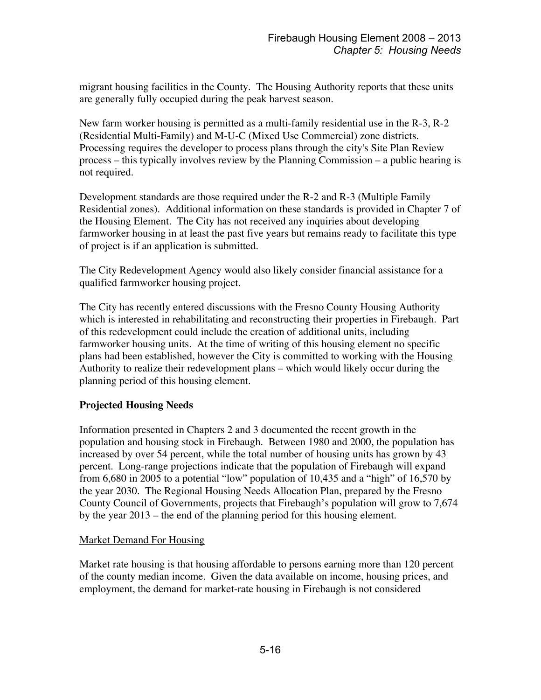migrant housing facilities in the County. The Housing Authority reports that these units are generally fully occupied during the peak harvest season.

New farm worker housing is permitted as a multi-family residential use in the R-3, R-2 (Residential Multi-Family) and M-U-C (Mixed Use Commercial) zone districts. Processing requires the developer to process plans through the city's Site Plan Review process – this typically involves review by the Planning Commission – a public hearing is not required.

Development standards are those required under the R-2 and R-3 (Multiple Family Residential zones). Additional information on these standards is provided in Chapter 7 of the Housing Element. The City has not received any inquiries about developing farmworker housing in at least the past five years but remains ready to facilitate this type of project is if an application is submitted.

The City Redevelopment Agency would also likely consider financial assistance for a qualified farmworker housing project.

The City has recently entered discussions with the Fresno County Housing Authority which is interested in rehabilitating and reconstructing their properties in Firebaugh. Part of this redevelopment could include the creation of additional units, including farmworker housing units. At the time of writing of this housing element no specific plans had been established, however the City is committed to working with the Housing Authority to realize their redevelopment plans – which would likely occur during the planning period of this housing element.

# **Projected Housing Needs**

Information presented in Chapters 2 and 3 documented the recent growth in the population and housing stock in Firebaugh. Between 1980 and 2000, the population has increased by over 54 percent, while the total number of housing units has grown by 43 percent. Long-range projections indicate that the population of Firebaugh will expand from 6,680 in 2005 to a potential "low" population of 10,435 and a "high" of 16,570 by the year 2030. The Regional Housing Needs Allocation Plan, prepared by the Fresno County Council of Governments, projects that Firebaugh's population will grow to 7,674 by the year 2013 – the end of the planning period for this housing element.

#### **Market Demand For Housing**

Market rate housing is that housing affordable to persons earning more than 120 percent of the county median income. Given the data available on income, housing prices, and employment, the demand for market-rate housing in Firebaugh is not considered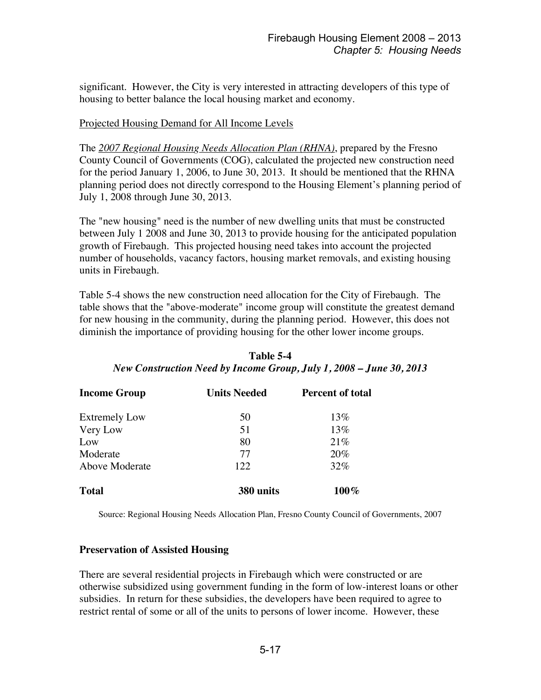significant. However, the City is very interested in attracting developers of this type of housing to better balance the local housing market and economy.

#### Projected Housing Demand for All Income Levels

The *2007 Regional Housing Needs Allocation Plan (RHNA)*, prepared by the Fresno County Council of Governments (COG), calculated the projected new construction need for the period January 1, 2006, to June 30, 2013. It should be mentioned that the RHNA planning period does not directly correspond to the Housing Element's planning period of July 1, 2008 through June 30, 2013.

The "new housing" need is the number of new dwelling units that must be constructed between July 1 2008 and June 30, 2013 to provide housing for the anticipated population growth of Firebaugh. This projected housing need takes into account the projected number of households, vacancy factors, housing market removals, and existing housing units in Firebaugh.

Table 5-4 shows the new construction need allocation for the City of Firebaugh. The table shows that the "above-moderate" income group will constitute the greatest demand for new housing in the community, during the planning period. However, this does not diminish the importance of providing housing for the other lower income groups.

| <b>Income Group</b>  | <b>Units Needed</b> | <b>Percent of total</b> |
|----------------------|---------------------|-------------------------|
| <b>Extremely Low</b> | 50                  | 13%                     |
| Very Low             | 51                  | 13%                     |
| Low                  | 80                  | 21%                     |
| Moderate             | 77                  | 20%                     |
| Above Moderate       | 122                 | 32%                     |
| <b>Total</b>         | 380 units           | $100\%$                 |

**Table 5-4** *New Construction Need by Income Group, July 1, 2008 – June 30, 2013*

Source: Regional Housing Needs Allocation Plan, Fresno County Council of Governments, 2007

#### **Preservation of Assisted Housing**

There are several residential projects in Firebaugh which were constructed or are otherwise subsidized using government funding in the form of low-interest loans or other subsidies. In return for these subsidies, the developers have been required to agree to restrict rental of some or all of the units to persons of lower income. However, these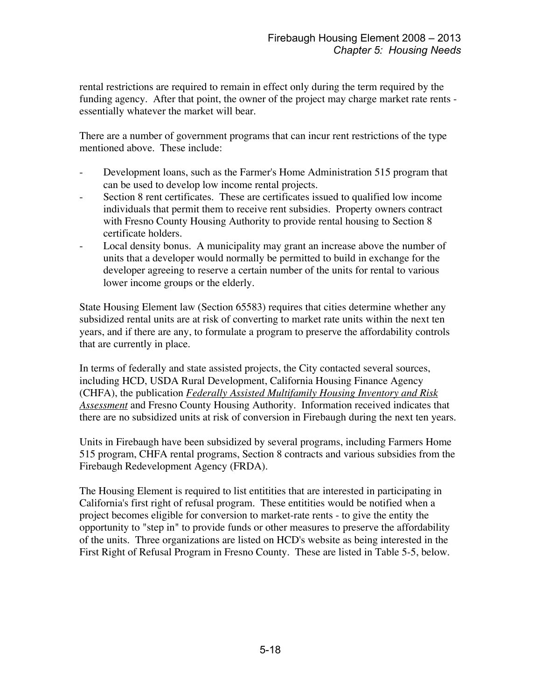rental restrictions are required to remain in effect only during the term required by the funding agency. After that point, the owner of the project may charge market rate rents essentially whatever the market will bear.

There are a number of government programs that can incur rent restrictions of the type mentioned above. These include:

- Development loans, such as the Farmer's Home Administration 515 program that can be used to develop low income rental projects.
- Section 8 rent certificates. These are certificates issued to qualified low income individuals that permit them to receive rent subsidies. Property owners contract with Fresno County Housing Authority to provide rental housing to Section 8 certificate holders.
- Local density bonus. A municipality may grant an increase above the number of units that a developer would normally be permitted to build in exchange for the developer agreeing to reserve a certain number of the units for rental to various lower income groups or the elderly.

State Housing Element law (Section 65583) requires that cities determine whether any subsidized rental units are at risk of converting to market rate units within the next ten years, and if there are any, to formulate a program to preserve the affordability controls that are currently in place.

In terms of federally and state assisted projects, the City contacted several sources, including HCD, USDA Rural Development, California Housing Finance Agency (CHFA), the publication *Federally Assisted Multifamily Housing Inventory and Risk Assessment* and Fresno County Housing Authority. Information received indicates that there are no subsidized units at risk of conversion in Firebaugh during the next ten years.

Units in Firebaugh have been subsidized by several programs, including Farmers Home 515 program, CHFA rental programs, Section 8 contracts and various subsidies from the Firebaugh Redevelopment Agency (FRDA).

The Housing Element is required to list entitities that are interested in participating in California's first right of refusal program. These entitities would be notified when a project becomes eligible for conversion to market-rate rents - to give the entity the opportunity to "step in" to provide funds or other measures to preserve the affordability of the units. Three organizations are listed on HCD's website as being interested in the First Right of Refusal Program in Fresno County. These are listed in Table 5-5, below.